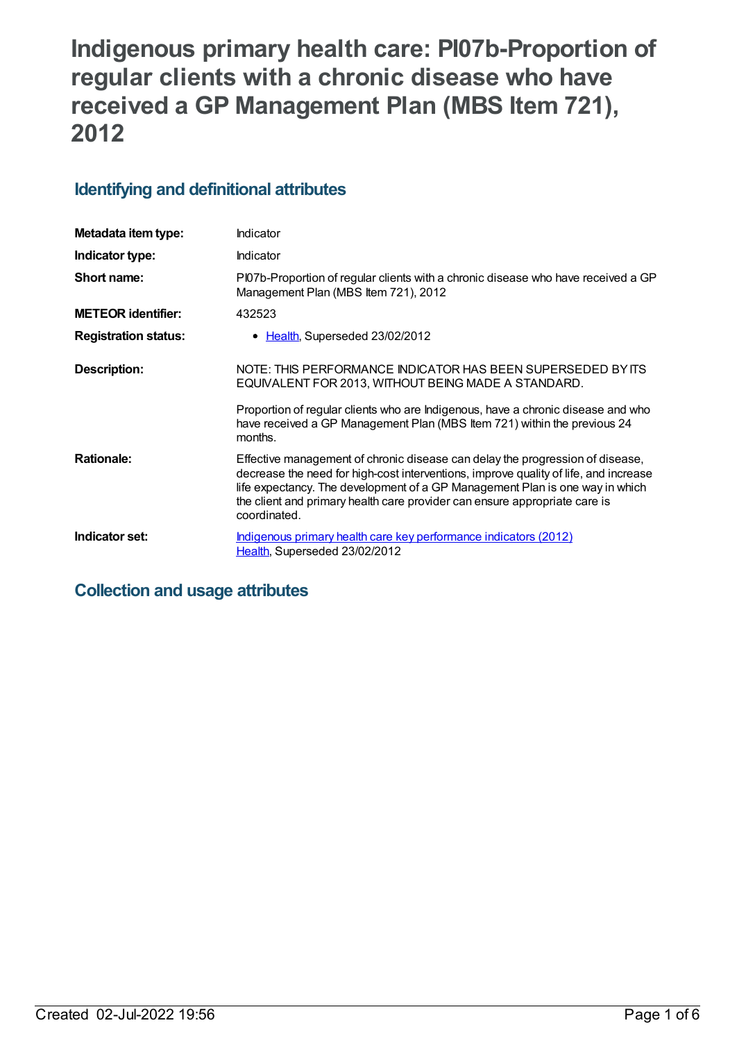# **Indigenous primary health care: PI07b-Proportion of regular clients with a chronic disease who have received a GP Management Plan (MBS Item 721), 2012**

## **Identifying and definitional attributes**

| Metadata item type:         | Indicator                                                                                                                                                                                                                                                                                                                                           |
|-----------------------------|-----------------------------------------------------------------------------------------------------------------------------------------------------------------------------------------------------------------------------------------------------------------------------------------------------------------------------------------------------|
| Indicator type:             | Indicator                                                                                                                                                                                                                                                                                                                                           |
| Short name:                 | Pl07b-Proportion of regular clients with a chronic disease who have received a GP<br>Management Plan (MBS Item 721), 2012                                                                                                                                                                                                                           |
| <b>METEOR identifier:</b>   | 432523                                                                                                                                                                                                                                                                                                                                              |
| <b>Registration status:</b> | • Health, Superseded 23/02/2012                                                                                                                                                                                                                                                                                                                     |
| <b>Description:</b>         | NOTE: THIS PERFORMANCE INDICATOR HAS BEEN SUPERSEDED BY ITS<br>EQUIVALENT FOR 2013, WITHOUT BEING MADE A STANDARD.                                                                                                                                                                                                                                  |
|                             | Proportion of regular clients who are Indigenous, have a chronic disease and who<br>have received a GP Management Plan (MBS Item 721) within the previous 24<br>months.                                                                                                                                                                             |
| <b>Rationale:</b>           | Effective management of chronic disease can delay the progression of disease,<br>decrease the need for high-cost interventions, improve quality of life, and increase<br>life expectancy. The development of a GP Management Plan is one way in which<br>the client and primary health care provider can ensure appropriate care is<br>coordinated. |
| Indicator set:              | Indigenous primary health care key performance indicators (2012)<br>Health, Superseded 23/02/2012                                                                                                                                                                                                                                                   |

## **Collection and usage attributes**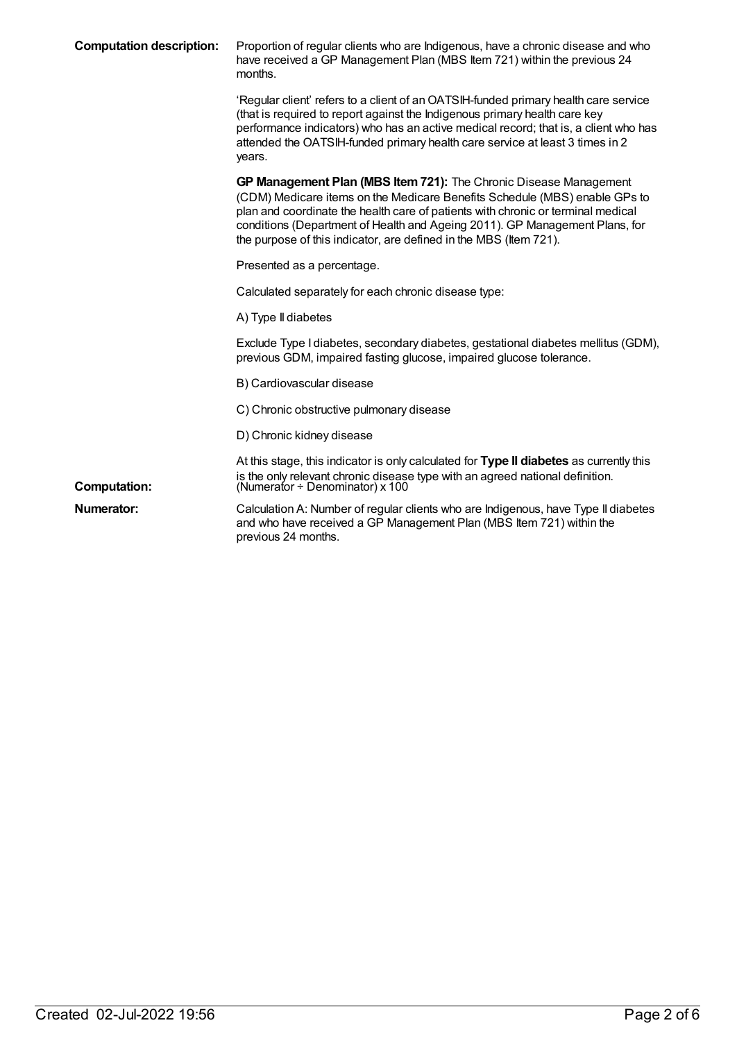| <b>Computation description:</b> | Proportion of regular clients who are Indigenous, have a chronic disease and who<br>have received a GP Management Plan (MBS Item 721) within the previous 24<br>months.                                                                                                                                                                                                                 |
|---------------------------------|-----------------------------------------------------------------------------------------------------------------------------------------------------------------------------------------------------------------------------------------------------------------------------------------------------------------------------------------------------------------------------------------|
|                                 | 'Regular client' refers to a client of an OATSIH-funded primary health care service<br>(that is required to report against the Indigenous primary health care key<br>performance indicators) who has an active medical record; that is, a client who has<br>attended the OATSIH-funded primary health care service at least 3 times in 2<br>years.                                      |
|                                 | GP Management Plan (MBS Item 721): The Chronic Disease Management<br>(CDM) Medicare items on the Medicare Benefits Schedule (MBS) enable GPs to<br>plan and coordinate the health care of patients with chronic or terminal medical<br>conditions (Department of Health and Ageing 2011). GP Management Plans, for<br>the purpose of this indicator, are defined in the MBS (Item 721). |
|                                 | Presented as a percentage.                                                                                                                                                                                                                                                                                                                                                              |
|                                 | Calculated separately for each chronic disease type:                                                                                                                                                                                                                                                                                                                                    |
|                                 | A) Type II diabetes                                                                                                                                                                                                                                                                                                                                                                     |
|                                 | Exclude Type I diabetes, secondary diabetes, gestational diabetes mellitus (GDM),<br>previous GDM, impaired fasting glucose, impaired glucose tolerance.                                                                                                                                                                                                                                |
|                                 | B) Cardiovascular disease                                                                                                                                                                                                                                                                                                                                                               |
|                                 | C) Chronic obstructive pulmonary disease                                                                                                                                                                                                                                                                                                                                                |
|                                 | D) Chronic kidney disease                                                                                                                                                                                                                                                                                                                                                               |
| <b>Computation:</b>             | At this stage, this indicator is only calculated for Type II diabetes as currently this<br>is the only relevant chronic disease type with an agreed national definition.<br>(Numerator $\div$ Denominator) x 100                                                                                                                                                                        |
| Numerator:                      | Calculation A: Number of regular clients who are Indigenous, have Type II diabetes<br>and who have received a GP Management Plan (MBS Item 721) within the<br>previous 24 months.                                                                                                                                                                                                       |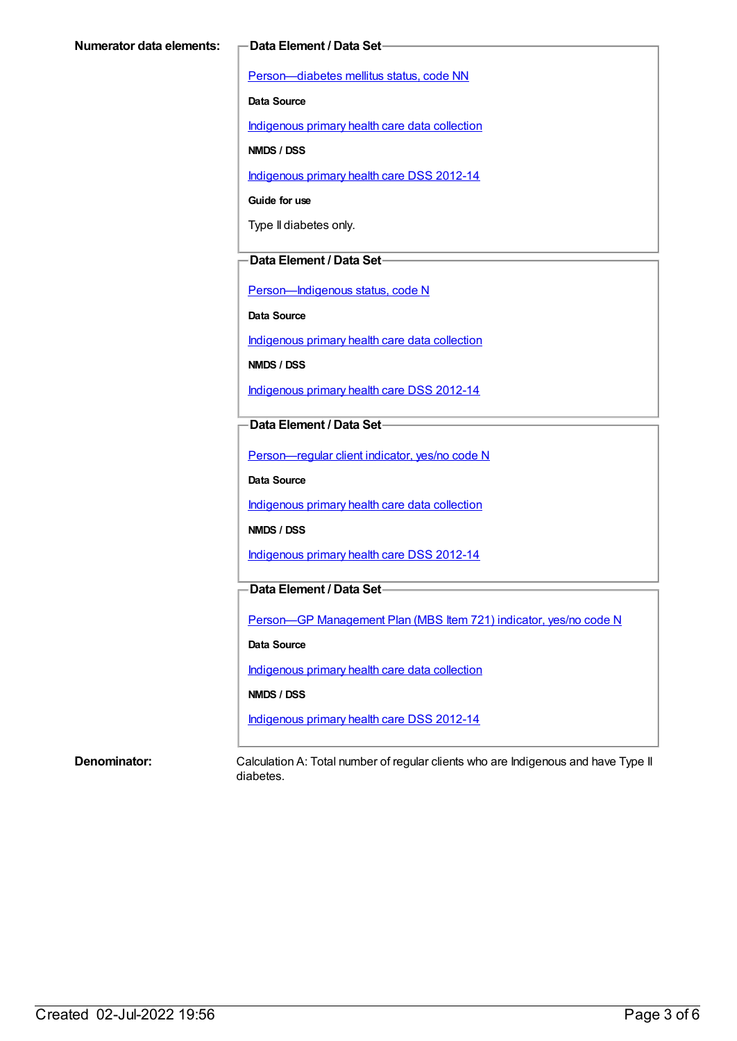[Person—diabetes](https://meteor.aihw.gov.au/content/270194) mellitus status, code NN

**Data Source**

[Indigenous](https://meteor.aihw.gov.au/content/430643) primary health care data collection

**NMDS / DSS**

[Indigenous](https://meteor.aihw.gov.au/content/430629) primary health care DSS 2012-14

**Guide for use**

Type II diabetes only.

#### **Data Element / Data Set**

[Person—Indigenous](https://meteor.aihw.gov.au/content/291036) status, code N

**Data Source**

[Indigenous](https://meteor.aihw.gov.au/content/430643) primary health care data collection

**NMDS / DSS**

[Indigenous](https://meteor.aihw.gov.au/content/430629) primary health care DSS 2012-14

**Data Element / Data Set**

[Person—regular](https://meteor.aihw.gov.au/content/436639) client indicator, yes/no code N

**Data Source**

[Indigenous](https://meteor.aihw.gov.au/content/430643) primary health care data collection

**NMDS / DSS**

[Indigenous](https://meteor.aihw.gov.au/content/430629) primary health care DSS 2012-14

### **Data Element / Data Set**

Person-GP [Management](https://meteor.aihw.gov.au/content/441514) Plan (MBS Item 721) indicator, yes/no code N

**Data Source**

[Indigenous](https://meteor.aihw.gov.au/content/430643) primary health care data collection

**NMDS / DSS**

[Indigenous](https://meteor.aihw.gov.au/content/430629) primary health care DSS 2012-14

**Denominator:** Calculation A: Total number of regular clients who are Indigenous and have Type II diabetes.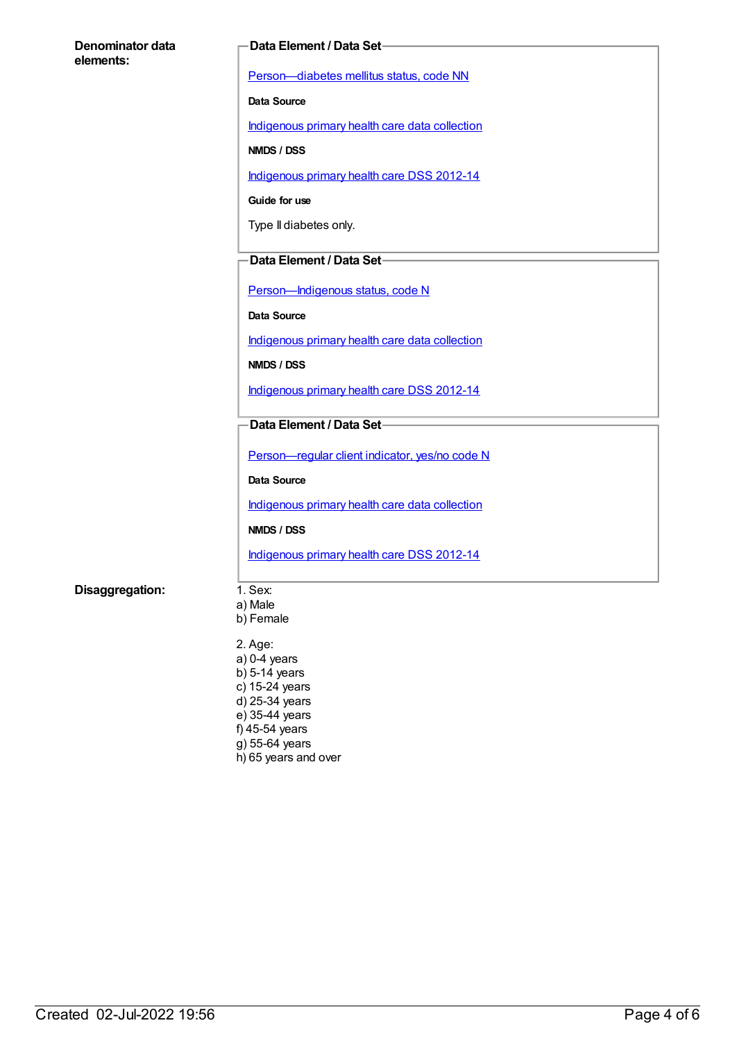| Denominator data | <b>Data Element / Data Set-</b>                |
|------------------|------------------------------------------------|
| elements:        | Person-diabetes mellitus status, code NN       |
|                  | Data Source                                    |
|                  | Indigenous primary health care data collection |
|                  | NMDS / DSS                                     |
|                  | Indigenous primary health care DSS 2012-14     |
|                  | Guide for use                                  |
|                  | Type II diabetes only.                         |
|                  | Data Element / Data Set-                       |
|                  |                                                |
|                  | Person-Indigenous status, code N               |
|                  | Data Source                                    |
|                  | Indigenous primary health care data collection |
|                  | NMDS / DSS                                     |
|                  | Indigenous primary health care DSS 2012-14     |
|                  | Data Element / Data Set-                       |
|                  | Person-regular client indicator, yes/no code N |
|                  | Data Source                                    |
|                  | Indigenous primary health care data collection |
|                  | NMDS / DSS                                     |
|                  | Indigenous primary health care DSS 2012-14     |
| Disaggregation:  | 1. Sex:                                        |
|                  | a) Male<br>b) Female                           |
|                  |                                                |
|                  | 2. Age:<br>$a)$ 0-4 years                      |
|                  | $b)$ 5-14 years                                |
|                  | c) 15-24 years<br>d) 25-34 years               |
|                  | e) 35-44 years                                 |
|                  | f) 45-54 years                                 |

- g) 55-64 years
- h) 65 years and over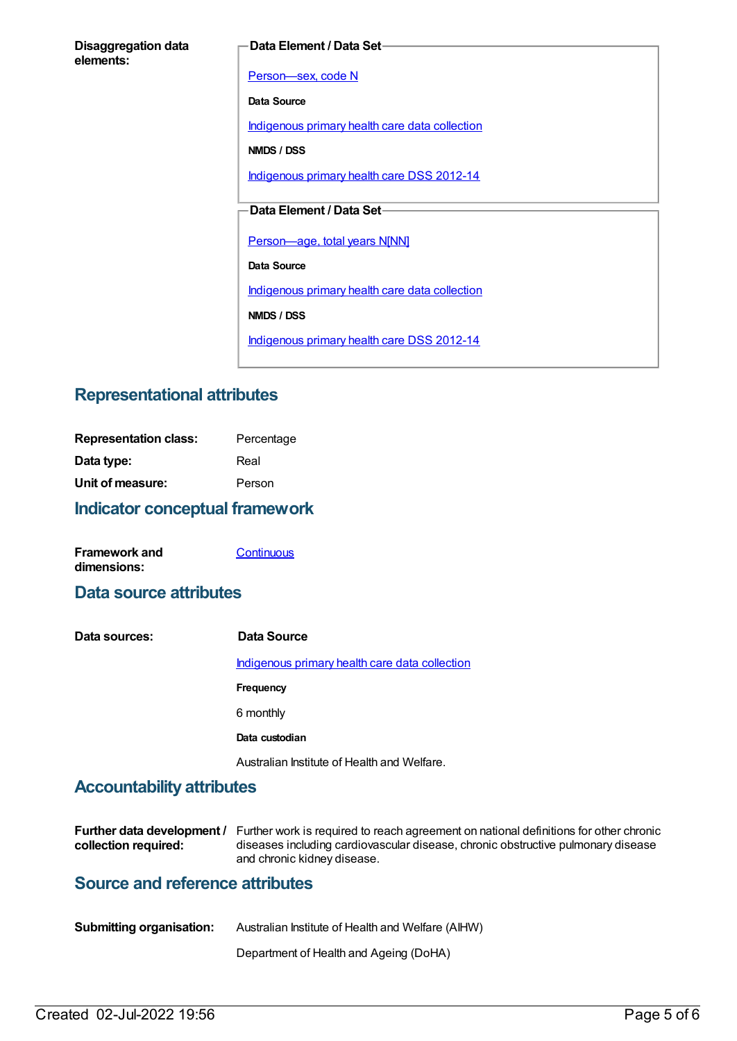#### **Data Element / Data Set**

[Person—sex,](https://meteor.aihw.gov.au/content/287316) code N

**Data Source**

[Indigenous](https://meteor.aihw.gov.au/content/430643) primary health care data collection

**NMDS / DSS**

[Indigenous](https://meteor.aihw.gov.au/content/430629) primary health care DSS 2012-14

### **Data Element / Data Set**

[Person—age,](https://meteor.aihw.gov.au/content/303794) total years N[NN]

**Data Source**

[Indigenous](https://meteor.aihw.gov.au/content/430643) primary health care data collection

**NMDS / DSS**

[Indigenous](https://meteor.aihw.gov.au/content/430629) primary health care DSS 2012-14

## **Representational attributes**

| <b>Indicator conceptual framework</b> |            |
|---------------------------------------|------------|
| Unit of measure:                      | Person     |
| Data type:                            | Real       |
| <b>Representation class:</b>          | Percentage |

| <b>Framework and</b> | Continuous |
|----------------------|------------|
| dimensions:          |            |

## **Data source attributes**

| Data sources: | Data Source                                           |
|---------------|-------------------------------------------------------|
|               | <u>Indigenous primary health care data collection</u> |
|               | Frequency                                             |
|               | 6 monthly                                             |
|               | Data custodian                                        |
|               | Australian Institute of Health and Welfare.           |

## **Accountability attributes**

|                      | Further data development / Further work is required to reach agreement on national definitions for other chronic |
|----------------------|------------------------------------------------------------------------------------------------------------------|
| collection required: | diseases including cardiovascular disease, chronic obstructive pulmonary disease                                 |
|                      | and chronic kidney disease.                                                                                      |

## **Source and reference attributes**

| <b>Submitting organisation:</b> | Australian Institute of Health and Welfare (AIHW) |
|---------------------------------|---------------------------------------------------|
|                                 | Department of Health and Ageing (DoHA)            |